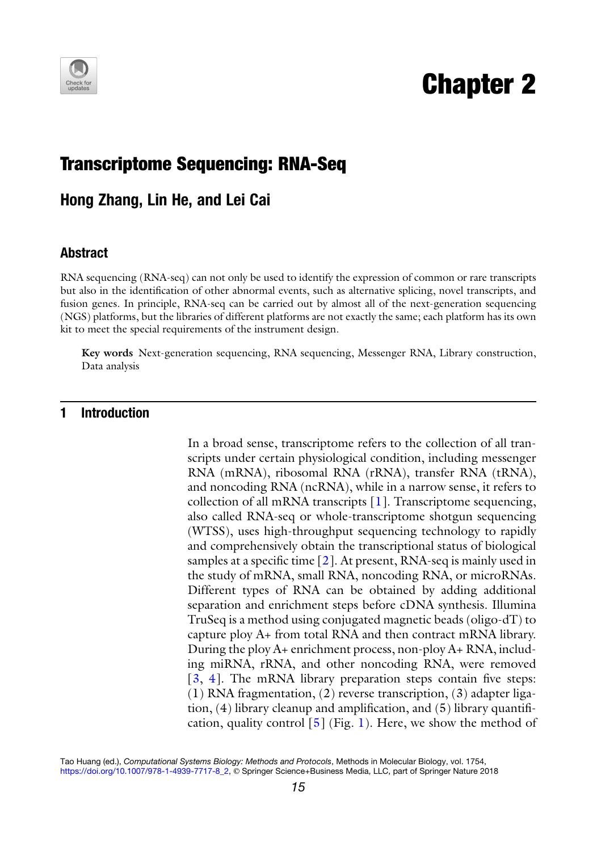

# Chapter 2

## Transcriptome Sequencing: RNA-Seq

Hong Zhang, Lin He, and Lei Cai

#### Abstract

RNA sequencing (RNA-seq) can not only be used to identify the expression of common or rare transcripts but also in the identification of other abnormal events, such as alternative splicing, novel transcripts, and fusion genes. In principle, RNA-seq can be carried out by almost all of the next-generation sequencing (NGS) platforms, but the libraries of different platforms are not exactly the same; each platform has its own kit to meet the special requirements of the instrument design.

Key words Next-generation sequencing, RNA sequencing, Messenger RNA, Library construction, Data analysis

#### 1 Introduction

In a broad sense, transcriptome refers to the collection of all transcripts under certain physiological condition, including messenger RNA (mRNA), ribosomal RNA (rRNA), transfer RNA (tRNA), and noncoding RNA (ncRNA), while in a narrow sense, it refers to collection of all mRNA transcripts [\[1](#page-11-0)]. Transcriptome sequencing, also called RNA-seq or whole-transcriptome shotgun sequencing (WTSS), uses high-throughput sequencing technology to rapidly and comprehensively obtain the transcriptional status of biological samples at a specific time  $[2]$  $[2]$ . At present, RNA-seq is mainly used in the study of mRNA, small RNA, noncoding RNA, or microRNAs. Different types of RNA can be obtained by adding additional separation and enrichment steps before cDNA synthesis. Illumina TruSeq is a method using conjugated magnetic beads (oligo-dT) to capture ploy A+ from total RNA and then contract mRNA library. During the ploy A+ enrichment process, non-ploy A+ RNA, including miRNA, rRNA, and other noncoding RNA, were removed [[3,](#page-12-0) [4\]](#page-12-1). The mRNA library preparation steps contain five steps: (1) RNA fragmentation, (2) reverse transcription, (3) adapter ligation, (4) library cleanup and amplification, and (5) library quantification, quality control  $\lceil 5 \rceil$  (Fig. [1\)](#page-1-0). Here, we show the method of

Tao Huang (ed.), Computational Systems Biology: Methods and Protocols, Methods in Molecular Biology, vol. 1754, [https://doi.org/10.1007/978-1-4939-7717-8\\_2](https://doi.org/10.1007/978-1-4939-7717-8_2), © Springer Science+Business Media, LLC, part of Springer Nature 2018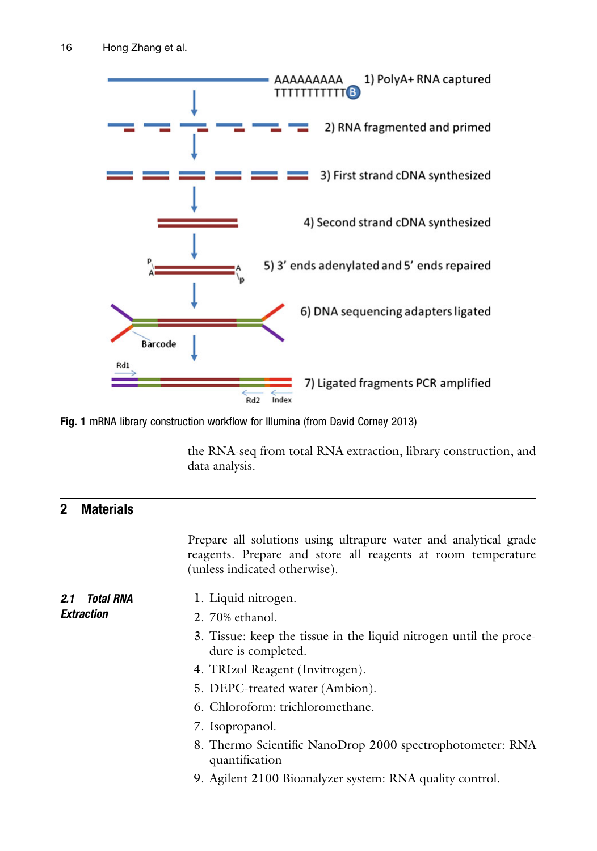<span id="page-1-0"></span>

Fig. 1 mRNA library construction workflow for Illumina (from David Corney 2013)

the RNA-seq from total RNA extraction, library construction, and data analysis.

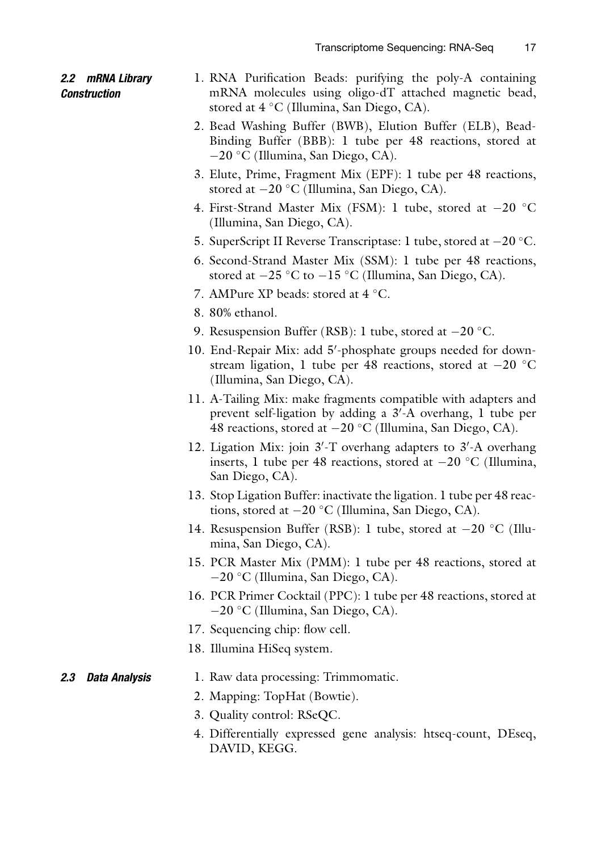#### 2.2 mRNA Library **Construction**

- 1. RNA Purification Beads: purifying the poly-A containing mRNA molecules using oligo-dT attached magnetic bead, stored at  $4^{\circ}$ C (Illumina, San Diego, CA).
- 2. Bead Washing Buffer (BWB), Elution Buffer (ELB), Bead-Binding Buffer (BBB): 1 tube per 48 reactions, stored at  $-20$  °C (Illumina, San Diego, CA).
- 3. Elute, Prime, Fragment Mix (EPF): 1 tube per 48 reactions, stored at  $-20$  °C (Illumina, San Diego, CA).
- 4. First-Strand Master Mix (FSM): 1 tube, stored at  $-20$  °C (Illumina, San Diego, CA).
- 5. SuperScript II Reverse Transcriptase: 1 tube, stored at  $-20$  °C.
- 6. Second-Strand Master Mix (SSM): 1 tube per 48 reactions, stored at  $-25$  °C to  $-15$  °C (Illumina, San Diego, CA).
- 7. AMPure XP beads: stored at  $4^{\circ}$ C.
- 8. 80% ethanol.
- 9. Resuspension Buffer (RSB): 1 tube, stored at  $-20$  °C.
- 10. End-Repair Mix: add 5'-phosphate groups needed for downstream ligation, 1 tube per 48 reactions, stored at  $-20$  °C (Illumina, San Diego, CA).
- 11. A-Tailing Mix: make fragments compatible with adapters and prevent self-ligation by adding a 3'-A overhang, 1 tube per 48 reactions, stored at  $-20$  °C (Illumina, San Diego, CA).
- 12. Ligation Mix: join 3'-T overhang adapters to 3'-A overhang inserts, 1 tube per 48 reactions, stored at  $-20$  °C (Illumina, San Diego, CA).
- 13. Stop Ligation Buffer: inactivate the ligation. 1 tube per 48 reactions, stored at  $-20$  °C (Illumina, San Diego, CA).
- 14. Resuspension Buffer (RSB): 1 tube, stored at  $-20$  °C (Illumina, San Diego, CA).
- 15. PCR Master Mix (PMM): 1 tube per 48 reactions, stored at  $-20$  °C (Illumina, San Diego, CA).
- 16. PCR Primer Cocktail (PPC): 1 tube per 48 reactions, stored at  $-20$  °C (Illumina, San Diego, CA).
- 17. Sequencing chip: flow cell.
- 18. Illumina HiSeq system.

#### **2.3 Data Analysis** 1. Raw data processing: Trimmomatic.

- 2. Mapping: TopHat (Bowtie).
- 3. Quality control: RSeQC.
- 4. Differentially expressed gene analysis: htseq-count, DEseq, DAVID, KEGG.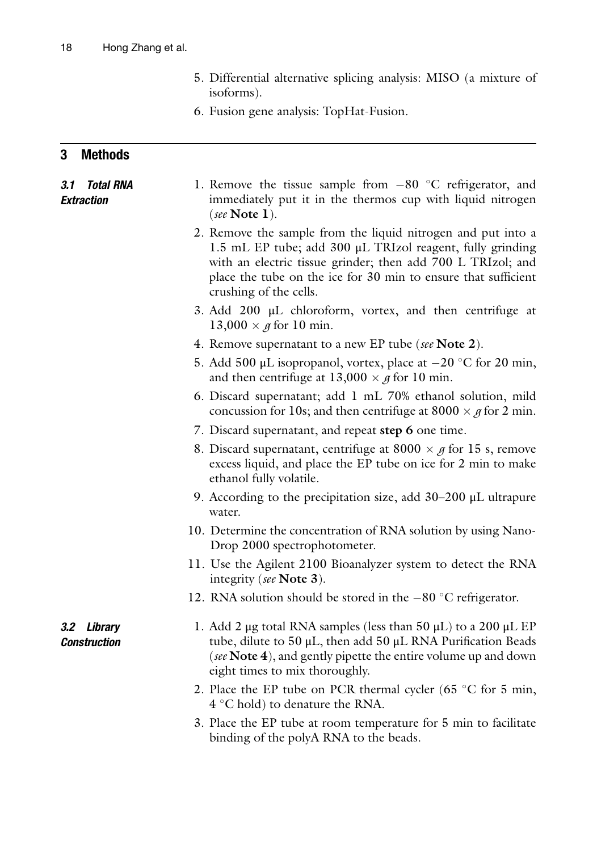- 5. Differential alternative splicing analysis: MISO (a mixture of isoforms).
- 6. Fusion gene analysis: TopHat-Fusion.

### 3 Methods

| 3.1 Total RNA<br><b>Extraction</b> | 1. Remove the tissue sample from $-80$ °C refrigerator, and<br>immediately put it in the thermos cup with liquid nitrogen<br>(see Note $1$ ).                                                                                                                                        |
|------------------------------------|--------------------------------------------------------------------------------------------------------------------------------------------------------------------------------------------------------------------------------------------------------------------------------------|
|                                    | 2. Remove the sample from the liquid nitrogen and put into a<br>1.5 mL EP tube; add 300 µL TRIzol reagent, fully grinding<br>with an electric tissue grinder; then add 700 L TRIzol; and<br>place the tube on the ice for 30 min to ensure that sufficient<br>crushing of the cells. |
|                                    | 3. Add $200 \mu L$ chloroform, vortex, and then centrifuge at<br>$13,000 \times g$ for 10 min.                                                                                                                                                                                       |
|                                    | 4. Remove supernatant to a new EP tube (see Note 2).                                                                                                                                                                                                                                 |
|                                    | 5. Add 500 µL isopropanol, vortex, place at $-20$ °C for 20 min,<br>and then centrifuge at $13,000 \times g$ for 10 min.                                                                                                                                                             |
|                                    | 6. Discard supernatant; add 1 mL 70% ethanol solution, mild<br>concussion for 10s; and then centrifuge at 8000 $\times$ g for 2 min.                                                                                                                                                 |
|                                    | 7. Discard supernatant, and repeat step 6 one time.                                                                                                                                                                                                                                  |
|                                    | 8. Discard supernatant, centrifuge at 8000 $\times$ g for 15 s, remove<br>excess liquid, and place the EP tube on ice for 2 min to make<br>ethanol fully volatile.                                                                                                                   |
|                                    | 9. According to the precipitation size, add $30-200$ µL ultrapure<br>water.                                                                                                                                                                                                          |
|                                    | 10. Determine the concentration of RNA solution by using Nano-<br>Drop 2000 spectrophotometer.                                                                                                                                                                                       |
|                                    | 11. Use the Agilent 2100 Bioanalyzer system to detect the RNA<br>integrity (see Note 3).                                                                                                                                                                                             |
|                                    | 12. RNA solution should be stored in the $-80$ °C refrigerator.                                                                                                                                                                                                                      |
| 3.2 Library<br><b>Construction</b> | 1. Add 2 µg total RNA samples (less than 50 µL) to a 200 µL EP<br>tube, dilute to $50 \mu L$ , then add $50 \mu L$ RNA Purification Beads<br>(see Note 4), and gently pipette the entire volume up and down<br>eight times to mix thoroughly.                                        |
|                                    | 2. Place the EP tube on PCR thermal cycler (65 $\degree$ C for 5 min,<br>$4^{\circ}$ C hold) to denature the RNA.                                                                                                                                                                    |
|                                    | $2.50 \pm 0.1$ and $1.50 \pm 0.1$ and $1.50 \pm 0.1$ and $1.50 \pm 0.1$ and $1.50 \pm 0.1$ and $1.50 \pm 0.1$                                                                                                                                                                        |

3. Place the EP tube at room temperature for 5 min to facilitate binding of the polyA RNA to the beads.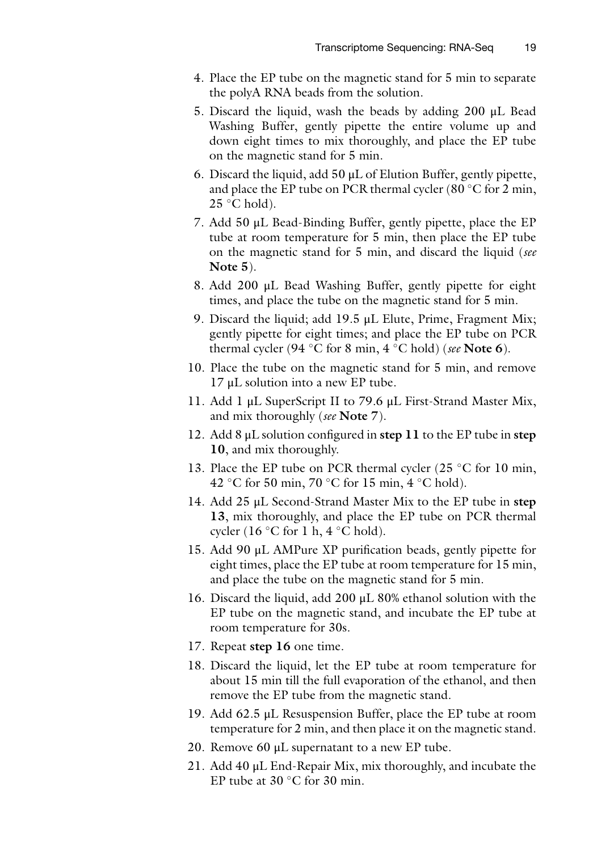- 4. Place the EP tube on the magnetic stand for 5 min to separate the polyA RNA beads from the solution.
- 5. Discard the liquid, wash the beads by adding 200 μL Bead Washing Buffer, gently pipette the entire volume up and down eight times to mix thoroughly, and place the EP tube on the magnetic stand for 5 min.
- 6. Discard the liquid, add 50 μL of Elution Buffer, gently pipette, and place the EP tube on PCR thermal cycler (80 $\degree$ C for 2 min,  $25^{\circ}$ C hold).
- 7. Add 50 μL Bead-Binding Buffer, gently pipette, place the EP tube at room temperature for 5 min, then place the EP tube on the magnetic stand for 5 min, and discard the liquid (see Note 5).
- 8. Add 200 μL Bead Washing Buffer, gently pipette for eight times, and place the tube on the magnetic stand for 5 min.
- 9. Discard the liquid; add 19.5 μL Elute, Prime, Fragment Mix; gently pipette for eight times; and place the EP tube on PCR thermal cycler (94 °C for 8 min, 4 °C hold) (see Note 6).
- 10. Place the tube on the magnetic stand for 5 min, and remove 17 μL solution into a new EP tube.
- 11. Add 1 μL SuperScript II to 79.6 μL First-Strand Master Mix, and mix thoroughly (see **Note** 7).
- 12. Add 8  $\mu$ L solution configured in step 11 to the EP tube in step 10, and mix thoroughly.
- 13. Place the EP tube on PCR thermal cycler (25  $\degree$ C for 10 min, 42 °C for 50 min, 70 °C for 15 min, 4 °C hold).
- 14. Add 25 μL Second-Strand Master Mix to the EP tube in step 13, mix thoroughly, and place the EP tube on PCR thermal cycler (16 °C for 1 h, 4 °C hold).
- 15. Add 90 μL AMPure XP purification beads, gently pipette for eight times, place the EP tube at room temperature for 15 min, and place the tube on the magnetic stand for 5 min.
- 16. Discard the liquid, add 200 μL 80% ethanol solution with the EP tube on the magnetic stand, and incubate the EP tube at room temperature for 30s.
- 17. Repeat step 16 one time.
- 18. Discard the liquid, let the EP tube at room temperature for about 15 min till the full evaporation of the ethanol, and then remove the EP tube from the magnetic stand.
- 19. Add 62.5 μL Resuspension Buffer, place the EP tube at room temperature for 2 min, and then place it on the magnetic stand.
- 20. Remove 60 μL supernatant to a new EP tube.
- 21. Add 40 μL End-Repair Mix, mix thoroughly, and incubate the EP tube at  $30^{\circ}$ C for  $30^{\circ}$  min.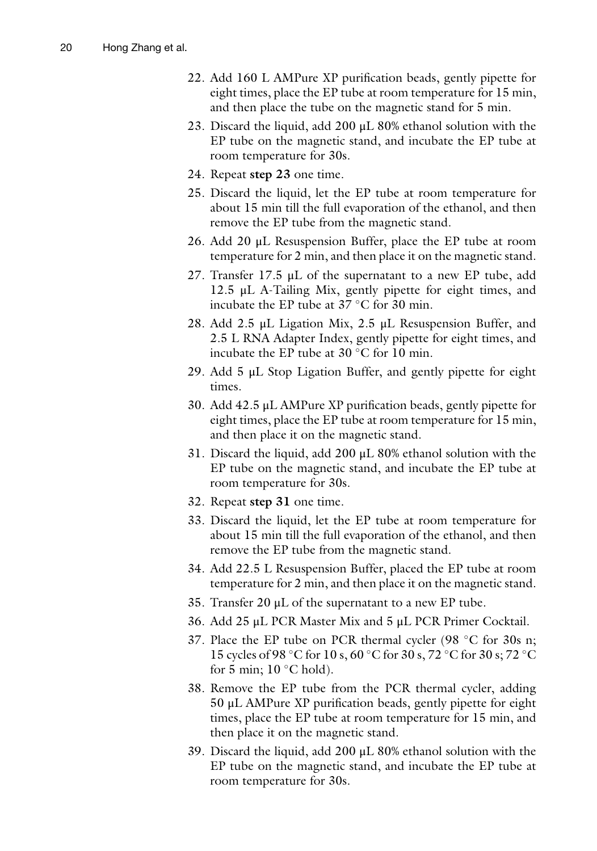- 22. Add 160 L AMPure XP purification beads, gently pipette for eight times, place the EP tube at room temperature for 15 min, and then place the tube on the magnetic stand for 5 min.
- 23. Discard the liquid, add 200 μL 80% ethanol solution with the EP tube on the magnetic stand, and incubate the EP tube at room temperature for 30s.
- 24. Repeat step 23 one time.
- 25. Discard the liquid, let the EP tube at room temperature for about 15 min till the full evaporation of the ethanol, and then remove the EP tube from the magnetic stand.
- 26. Add 20 μL Resuspension Buffer, place the EP tube at room temperature for 2 min, and then place it on the magnetic stand.
- 27. Transfer 17.5 μL of the supernatant to a new EP tube, add 12.5 μL A-Tailing Mix, gently pipette for eight times, and incubate the EP tube at  $37^{\circ}$ C for 30 min.
- 28. Add 2.5 μL Ligation Mix, 2.5 μL Resuspension Buffer, and 2.5 L RNA Adapter Index, gently pipette for eight times, and incubate the EP tube at  $30^{\circ}$ C for 10 min.
- 29. Add 5 μL Stop Ligation Buffer, and gently pipette for eight times.
- 30. Add 42.5 μL AMPure XP purification beads, gently pipette for eight times, place the EP tube at room temperature for 15 min, and then place it on the magnetic stand.
- 31. Discard the liquid, add 200 μL 80% ethanol solution with the EP tube on the magnetic stand, and incubate the EP tube at room temperature for 30s.
- 32. Repeat step 31 one time.
- 33. Discard the liquid, let the EP tube at room temperature for about 15 min till the full evaporation of the ethanol, and then remove the EP tube from the magnetic stand.
- 34. Add 22.5 L Resuspension Buffer, placed the EP tube at room temperature for 2 min, and then place it on the magnetic stand.
- 35. Transfer 20 μL of the supernatant to a new EP tube.
- 36. Add 25 μL PCR Master Mix and 5 μL PCR Primer Cocktail.
- 37. Place the EP tube on PCR thermal cycler (98  $\degree$ C for 30s n; 15 cycles of 98 °C for 10 s, 60 °C for 30 s, 72 °C for 30 s; 72 °C for 5 min;  $10^{\circ}$ C hold).
- 38. Remove the EP tube from the PCR thermal cycler, adding 50 μL AMPure XP purification beads, gently pipette for eight times, place the EP tube at room temperature for 15 min, and then place it on the magnetic stand.
- 39. Discard the liquid, add 200 μL 80% ethanol solution with the EP tube on the magnetic stand, and incubate the EP tube at room temperature for 30s.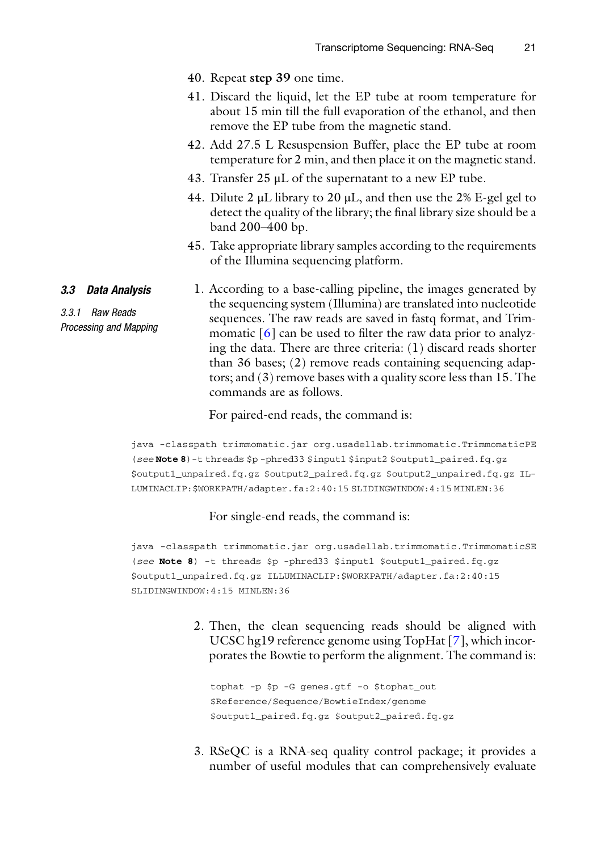- 40. Repeat step 39 one time.
- 41. Discard the liquid, let the EP tube at room temperature for about 15 min till the full evaporation of the ethanol, and then remove the EP tube from the magnetic stand.
- 42. Add 27.5 L Resuspension Buffer, place the EP tube at room temperature for 2 min, and then place it on the magnetic stand.
- 43. Transfer 25 μL of the supernatant to a new EP tube.
- 44. Dilute 2 μL library to 20 μL, and then use the 2% E-gel gel to detect the quality of the library; the final library size should be a band 200–400 bp.
- 45. Take appropriate library samples according to the requirements of the Illumina sequencing platform.
- 3.3 Data Analysis 1. According to a base-calling pipeline, the images generated by the sequencing system (Illumina) are translated into nucleotide sequences. The raw reads are saved in fastq format, and Trimmomatic  $\lfloor 6 \rfloor$  can be used to filter the raw data prior to analyzing the data. There are three criteria: (1) discard reads shorter than 36 bases; (2) remove reads containing sequencing adaptors; and (3) remove bases with a quality score less than 15. The commands are as follows.

For paired-end reads, the command is:

java -classpath trimmomatic.jar org.usadellab.trimmomatic.TrimmomaticPE (see Note 8)-t threads \$p -phred33 \$input1 \$input2 \$output1\_paired.fq.gz \$output1\_unpaired.fq.gz \$output2\_paired.fq.gz \$output2\_unpaired.fq.gz IL-LUMINACLIP:\$WORKPATH/adapter.fa:2:40:15 SLIDINGWINDOW:4:15 MINLEN:36

#### For single-end reads, the command is:

java -classpath trimmomatic.jar org.usadellab.trimmomatic.TrimmomaticSE (see Note 8) -t threads \$p -phred33 \$input1 \$output1\_paired.fq.gz \$output1\_unpaired.fq.gz ILLUMINACLIP:\$WORKPATH/adapter.fa:2:40:15 SLIDINGWINDOW:4:15 MINLEN:36

> 2. Then, the clean sequencing reads should be aligned with UCSC hg19 reference genome using TopHat [\[7](#page-12-4)], which incorporates the Bowtie to perform the alignment. The command is:

tophat -p \$p -G genes.gtf -o \$tophat\_out \$Reference/Sequence/BowtieIndex/genome \$output1\_paired.fq.gz \$output2\_paired.fq.gz

3. RSeQC is a RNA-seq quality control package; it provides a number of useful modules that can comprehensively evaluate

3.3.1 Raw Reads

Processing and Mapping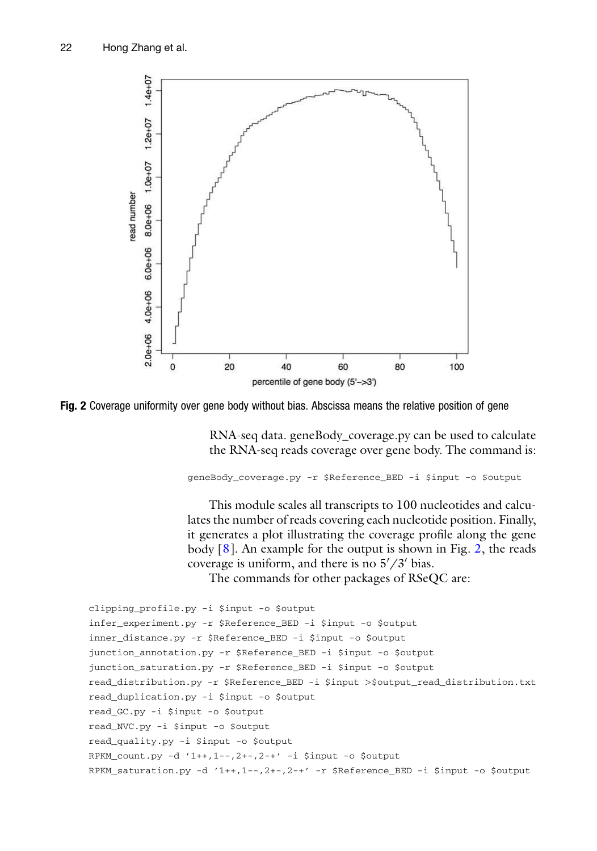<span id="page-7-0"></span>

Fig. 2 Coverage uniformity over gene body without bias. Abscissa means the relative position of gene

RNA-seq data. geneBody\_coverage.py can be used to calculate the RNA-seq reads coverage over gene body. The command is:

geneBody\_coverage.py -r \$Reference\_BED -i \$input -o \$output

This module scales all transcripts to 100 nucleotides and calculates the number of reads covering each nucleotide position. Finally, it generates a plot illustrating the coverage profile along the gene body [\[8](#page-12-5)]. An example for the output is shown in Fig. [2](#page-7-0), the reads coverage is uniform, and there is no  $5'/3'$  bias.

The commands for other packages of RSeQC are:

```
clipping_profile.py -i $input -o $output
infer_experiment.py -r $Reference_BED -i $input -o $output
inner_distance.py -r $Reference_BED -i $input -o $output
junction_annotation.py -r $Reference_BED -i $input -o $output
junction_saturation.py -r $Reference_BED -i $input -o $output
read_distribution.py -r $Reference_BED -i $input >$output_read_distribution.txt
read_duplication.py -i $input -o $output
read_GC.py -i $input -o $output
read_NVC.py -i $input -o $output
read_quality.py -i $input -o $output
RPKM_count.py -d '1++,1--,2+-,2-+' -i $input -o $output
RPKM_saturation.py -d '1++,1--,2+-,2-+' -r $Reference_BED -i $input -o $output
```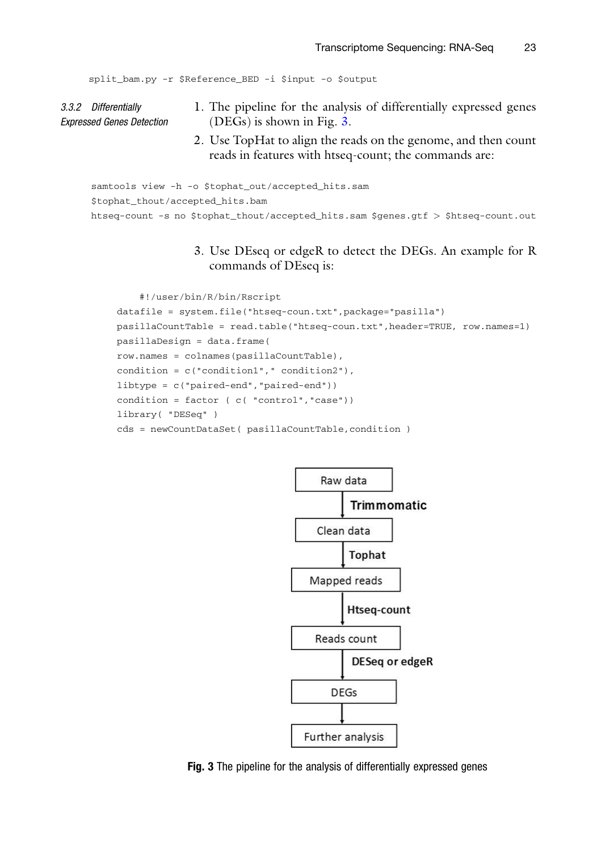```
split_bam.py -r $Reference_BED -i $input -o $output
```
- 3.3.2 Differentially Expressed Genes Detection 1. The pipeline for the analysis of differentially expressed genes (DEGs) is shown in Fig. [3](#page-8-0).
	- 2. Use TopHat to align the reads on the genome, and then count reads in features with htseq-count; the commands are:

```
samtools view -h -o $tophat_out/accepted_hits.sam
$tophat_thout/accepted_hits.bam
htseq-count -s no $tophat_thout/accepted_hits.sam $genes.gtf > $htseq-count.out
```
3. Use DEseq or edgeR to detect the DEGs. An example for R commands of DEseq is:

```
#!/user/bin/R/bin/Rscript
datafile = system.file("htseq-coun.txt",package="pasilla")
pasillaCountTable = read.table("htseq-coun.txt",header=TRUE, row.names=1)
pasillaDesign = data.frame(
row.names = colnames(pasillaCountTable),
condition = c("condition1"," condition2"),
libtype = c("paired-end","paired-end"))
condition = factor ( c( "control","case"))
library( "DESeq" )
cds = newCountDataSet( pasillaCountTable,condition )
```


Fig. 3 The pipeline for the analysis of differentially expressed genes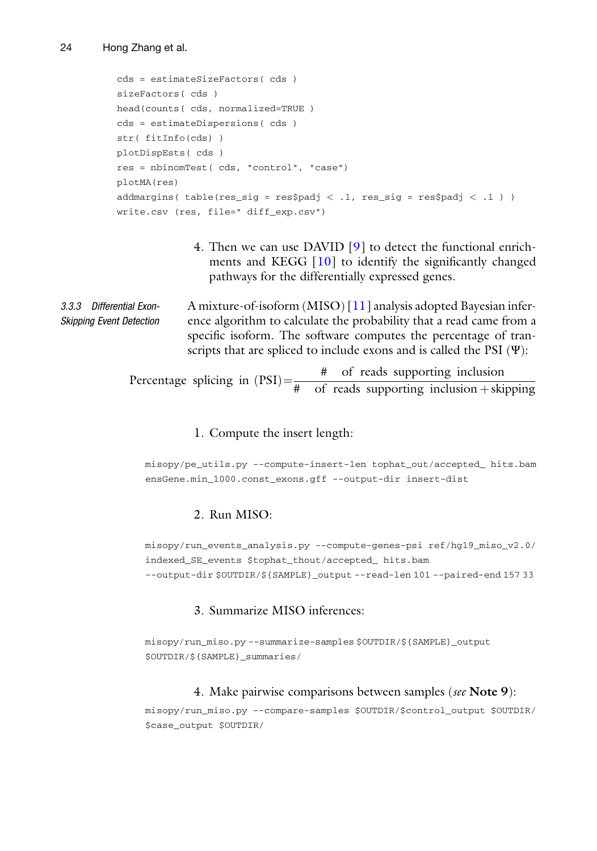```
cds = estimateSizeFactors( cds )
sizeFactors( cds )
head(counts( cds, normalized=TRUE )
cds = estimateDispersions( cds )
str( fitInfo(cds) )
plotDispEsts( cds )
res = nbinomTest( cds, "control", "case")
plotMA(res)
addmargins( table(res_sig = res$padj < .1, res_sig = res$padj < .1) )
write.csv (res, file=" diff_exp.csv")
```
4. Then we can use DAVID [[9\]](#page-12-6) to detect the functional enrichments and KEGG [\[10](#page-12-7)] to identify the significantly changed pathways for the differentially expressed genes.

3.3.3 Differential Exon-Skipping Event Detection A mixture-of-isoform (MISO) [\[11\]](#page-12-8) analysis adopted Bayesian inference algorithm to calculate the probability that a read came from a specific isoform. The software computes the percentage of transcripts that are spliced to include exons and is called the PSI  $(\Psi)$ :

Percentage splicing in  $(PSI) = \frac{\#}{\# \text{ of reads supporting inclusion}}$  + skipping

#### 1. Compute the insert length:

misopy/pe\_utils.py --compute-insert-len tophat\_out/accepted\_ hits.bam ensGene.min\_1000.const\_exons.gff --output-dir insert-dist

#### 2. Run MISO:

misopy/run\_events\_analysis.py --compute-genes-psi ref/hg19\_miso\_v2.0/ indexed\_SE\_events \$tophat\_thout/accepted\_ hits.bam --output-dir \$OUTDIR/\${SAMPLE}\_output --read-len 101 --paired-end 157 33

#### 3. Summarize MISO inferences:

```
misopy/run_miso.py --summarize-samples $OUTDIR/${SAMPLE}_output
$OUTDIR/${SAMPLE}_summaries/
```
#### 4. Make pairwise comparisons between samples (see Note 9):

misopy/run\_miso.py --compare-samples \$OUTDIR/\$control\_output \$OUTDIR/ \$case\_output \$OUTDIR/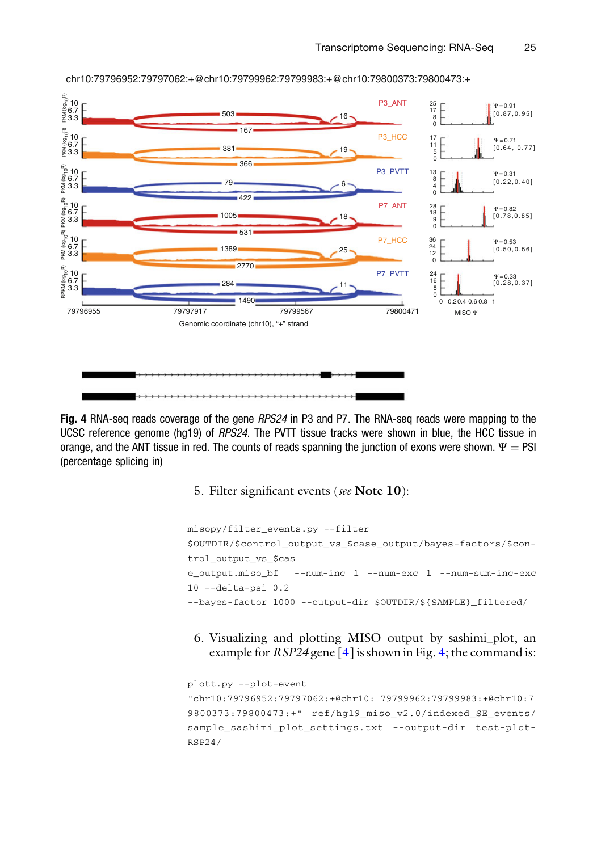<span id="page-10-0"></span>

chr10:79796952:79797062:+@chr10:79799962:79799983:+@chr10:79800373:79800473:+

Fig. 4 RNA-seq reads coverage of the gene RPS24 in P3 and P7. The RNA-seq reads were mapping to the UCSC reference genome (hg19) of RPS24. The PVTT tissue tracks were shown in blue, the HCC tissue in orange, and the ANT tissue in red. The counts of reads spanning the junction of exons were shown.  $\Psi = PSI$ (percentage splicing in)

5. Filter significant events (see Note 10):

```
misopy/filter_events.py --filter
$OUTDIR/$control_output_vs_$case_output/bayes-factors/$con-
trol_output_vs_$cas
e_output.miso_bf --num-inc 1 --num-exc 1 --num-sum-inc-exc
10 --delta-psi 0.2
--bayes-factor 1000 --output-dir $OUTDIR/${SAMPLE}_filtered/
```
6. Visualizing and plotting MISO output by sashimi\_plot, an example for  $RSP24$  gene [[4\]](#page-12-1) is shown in Fig. [4;](#page-10-0) the command is:

```
plott.py --plot-event
"chr10:79796952:79797062:+@chr10: 79799962:79799983:+@chr10:7
9800373:79800473:+" ref/hg19_miso_v2.0/indexed_SE_events/
sample_sashimi_plot_settings.txt --output-dir test-plot-
RSP24/
```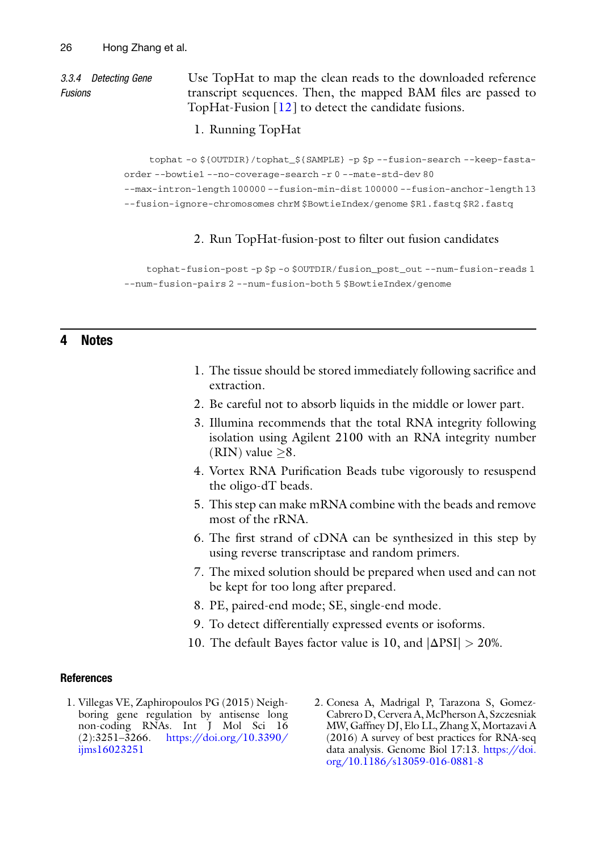#### 3.3.4 Detecting Gene Fusions

Use TopHat to map the clean reads to the downloaded reference transcript sequences. Then, the mapped BAM files are passed to TopHat-Fusion [\[12](#page-12-9)] to detect the candidate fusions.

1. Running TopHat

tophat -o \${OUTDIR}/tophat\_\${SAMPLE} -p \$p --fusion-search --keep-fastaorder --bowtie1 --no-coverage-search -r 0 --mate-std-dev 80

--max-intron-length 100000 --fusion-min-dist 100000 --fusion-anchor-length 13

--fusion-ignore-chromosomes chrM \$BowtieIndex/genome \$R1.fastq \$R2.fastq

#### 2. Run TopHat-fusion-post to filter out fusion candidates

tophat-fusion-post -p \$p -o \$OUTDIR/fusion\_post\_out --num-fusion-reads 1 --num-fusion-pairs 2 --num-fusion-both 5 \$BowtieIndex/genome

#### 4 Notes

- 1. The tissue should be stored immediately following sacrifice and extraction.
- 2. Be careful not to absorb liquids in the middle or lower part.
- 3. Illumina recommends that the total RNA integrity following isolation using Agilent 2100 with an RNA integrity number (RIN) value  $\geq 8$ .
- 4. Vortex RNA Purification Beads tube vigorously to resuspend the oligo-dT beads.
- 5. This step can make mRNA combine with the beads and remove most of the rRNA.
- 6. The first strand of cDNA can be synthesized in this step by using reverse transcriptase and random primers.
- 7. The mixed solution should be prepared when used and can not be kept for too long after prepared.
- 8. PE, paired-end mode; SE, single-end mode.
- 9. To detect differentially expressed events or isoforms.
- 10. The default Bayes factor value is 10, and  $|\Delta \text{PSI}| > 20\%$ .

#### <span id="page-11-0"></span>References

- 1. Villegas VE, Zaphiropoulos PG (2015) Neighboring gene regulation by antisense long non-coding RNAs. Int J Mol Sci 16 (2):3251–3266. [https://doi.org/10.3390/](https://doi.org/10.3390/ijms16023251) [ijms16023251](https://doi.org/10.3390/ijms16023251)
- 2. Conesa A, Madrigal P, Tarazona S, Gomez-Cabrero D, Cervera A, McPherson A, Szczesniak MW, Gaffney DJ, Elo LL, Zhang X, Mortazavi A (2016) A survey of best practices for RNA-seq data analysis. Genome Biol 17:13. [https://doi.](https://doi.org/10.1186/s13059-016-0881-8) [org/10.1186/s13059-016-0881-8](https://doi.org/10.1186/s13059-016-0881-8)